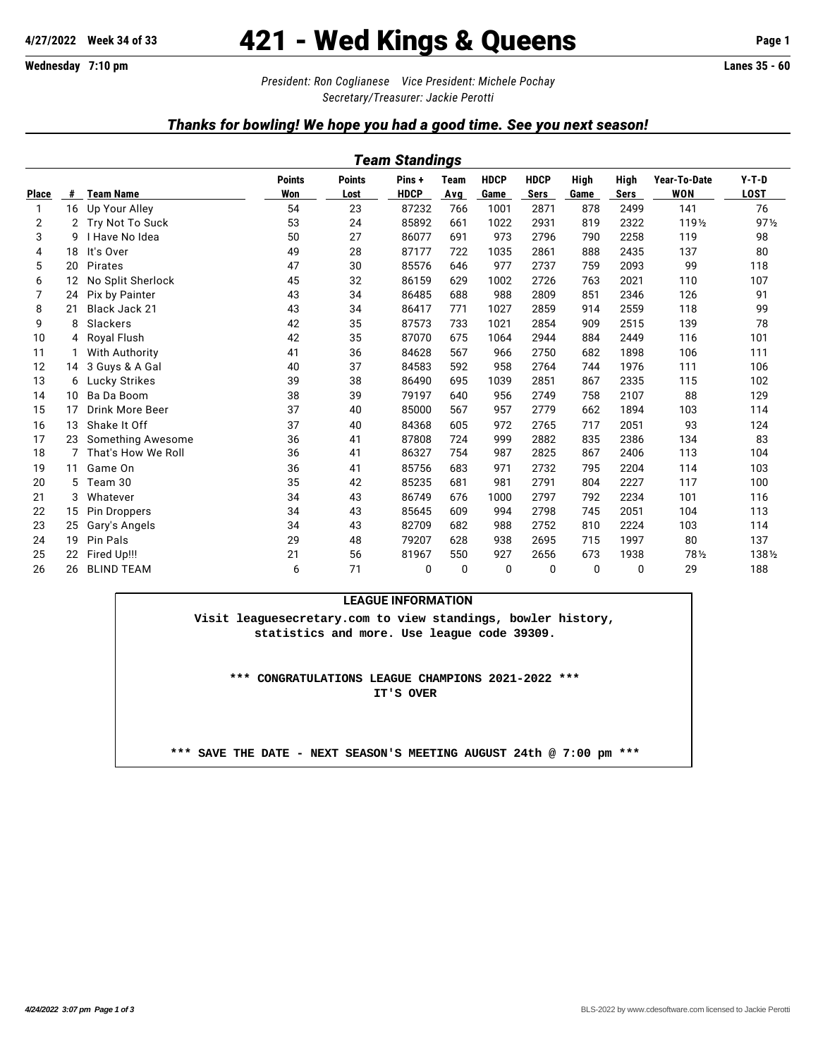# **4/27/2022 Week 34 of 33** 421 - Wed Kings & Queens **Page 1**

*President: Ron Coglianese Vice President: Michele Pochay Secretary/Treasurer: Jackie Perotti*

### *Thanks for bowling! We hope you had a good time. See you next season!*

|              | Team Standings                                                                                                                                                                                                                             |                        |    |    |             |            |      |      |      |             |        |                 |  |  |  |
|--------------|--------------------------------------------------------------------------------------------------------------------------------------------------------------------------------------------------------------------------------------------|------------------------|----|----|-------------|------------|------|------|------|-------------|--------|-----------------|--|--|--|
|              | <b>HDCP</b><br>$Y-T-D$<br><b>Points</b><br><b>HDCP</b><br>High<br>High<br>Year-To-Date<br><b>Points</b><br>Pins+<br><b>Team</b><br>Won<br><b>HDCP</b><br><b>WON</b><br><b>Team Name</b><br>Game<br><b>Sers</b><br><b>Sers</b><br>Lost<br># |                        |    |    |             |            |      |      |      |             |        |                 |  |  |  |
| <b>Place</b> |                                                                                                                                                                                                                                            |                        |    |    |             | <b>Avg</b> |      |      | Game |             |        | <b>LOST</b>     |  |  |  |
| $\mathbf{1}$ |                                                                                                                                                                                                                                            | 16 Up Your Alley       | 54 | 23 | 87232       | 766        | 1001 | 2871 | 878  | 2499        | 141    | 76              |  |  |  |
| 2            | 2                                                                                                                                                                                                                                          | Try Not To Suck        | 53 | 24 | 85892       | 661        | 1022 | 2931 | 819  | 2322        | 1191/2 | 97 <sub>2</sub> |  |  |  |
| 3            | g                                                                                                                                                                                                                                          | I Have No Idea         | 50 | 27 | 86077       | 691        | 973  | 2796 | 790  | 2258        | 119    | 98              |  |  |  |
| 4            | 18                                                                                                                                                                                                                                         | It's Over              | 49 | 28 | 87177       | 722        | 1035 | 2861 | 888  | 2435        | 137    | 80              |  |  |  |
| 5            | 20                                                                                                                                                                                                                                         | Pirates                | 47 | 30 | 85576       | 646        | 977  | 2737 | 759  | 2093        | 99     | 118             |  |  |  |
| 6            | 12                                                                                                                                                                                                                                         | No Split Sherlock      | 45 | 32 | 86159       | 629        | 1002 | 2726 | 763  | 2021        | 110    | 107             |  |  |  |
| 7            | 24                                                                                                                                                                                                                                         | Pix by Painter         | 43 | 34 | 86485       | 688        | 988  | 2809 | 851  | 2346        | 126    | 91              |  |  |  |
| 8            | 21                                                                                                                                                                                                                                         | Black Jack 21          | 43 | 34 | 86417       | 771        | 1027 | 2859 | 914  | 2559        | 118    | 99              |  |  |  |
| 9            | 8                                                                                                                                                                                                                                          | Slackers               | 42 | 35 | 87573       | 733        | 1021 | 2854 | 909  | 2515        | 139    | 78              |  |  |  |
| 10           | 4                                                                                                                                                                                                                                          | Royal Flush            | 42 | 35 | 87070       | 675        | 1064 | 2944 | 884  | 2449        | 116    | 101             |  |  |  |
| 11           |                                                                                                                                                                                                                                            | With Authority         | 41 | 36 | 84628       | 567        | 966  | 2750 | 682  | 1898        | 106    | 111             |  |  |  |
| 12           | 14                                                                                                                                                                                                                                         | 3 Guys & A Gal         | 40 | 37 | 84583       | 592        | 958  | 2764 | 744  | 1976        | 111    | 106             |  |  |  |
| 13           | 6                                                                                                                                                                                                                                          | Lucky Strikes          | 39 | 38 | 86490       | 695        | 1039 | 2851 | 867  | 2335        | 115    | 102             |  |  |  |
| 14           | 10                                                                                                                                                                                                                                         | Ba Da Boom             | 38 | 39 | 79197       | 640        | 956  | 2749 | 758  | 2107        | 88     | 129             |  |  |  |
| 15           | 17                                                                                                                                                                                                                                         | <b>Drink More Beer</b> | 37 | 40 | 85000       | 567        | 957  | 2779 | 662  | 1894        | 103    | 114             |  |  |  |
| 16           | 13                                                                                                                                                                                                                                         | Shake It Off           | 37 | 40 | 84368       | 605        | 972  | 2765 | 717  | 2051        | 93     | 124             |  |  |  |
| 17           | 23                                                                                                                                                                                                                                         | Something Awesome      | 36 | 41 | 87808       | 724        | 999  | 2882 | 835  | 2386        | 134    | 83              |  |  |  |
| 18           | 7                                                                                                                                                                                                                                          | That's How We Roll     | 36 | 41 | 86327       | 754        | 987  | 2825 | 867  | 2406        | 113    | 104             |  |  |  |
| 19           | 11                                                                                                                                                                                                                                         | Game On                | 36 | 41 | 85756       | 683        | 971  | 2732 | 795  | 2204        | 114    | 103             |  |  |  |
| 20           | 5                                                                                                                                                                                                                                          | Team 30                | 35 | 42 | 85235       | 681        | 981  | 2791 | 804  | 2227        | 117    | 100             |  |  |  |
| 21           | 3                                                                                                                                                                                                                                          | Whatever               | 34 | 43 | 86749       | 676        | 1000 | 2797 | 792  | 2234        | 101    | 116             |  |  |  |
| 22           | 15                                                                                                                                                                                                                                         | Pin Droppers           | 34 | 43 | 85645       | 609        | 994  | 2798 | 745  | 2051        | 104    | 113             |  |  |  |
| 23           | 25                                                                                                                                                                                                                                         | Gary's Angels          | 34 | 43 | 82709       | 682        | 988  | 2752 | 810  | 2224        | 103    | 114             |  |  |  |
| 24           | 19                                                                                                                                                                                                                                         | <b>Pin Pals</b>        | 29 | 48 | 79207       | 628        | 938  | 2695 | 715  | 1997        | 80     | 137             |  |  |  |
| 25           | 22                                                                                                                                                                                                                                         | Fired Up!!!            | 21 | 56 | 81967       | 550        | 927  | 2656 | 673  | 1938        | 781/2  | 1381/2          |  |  |  |
| 26           | 26                                                                                                                                                                                                                                         | <b>BLIND TEAM</b>      | 6  | 71 | $\mathbf 0$ | 0          | 0    | 0    | 0    | $\mathbf 0$ | 29     | 188             |  |  |  |

#### **LEAGUE INFORMATION**

**Visit leaguesecretary.com to view standings, bowler history, statistics and more. Use league code 39309.**

**\*\*\* CONGRATULATIONS LEAGUE CHAMPIONS 2021-2022 \*\*\* IT'S OVER**

**\*\*\* SAVE THE DATE - NEXT SEASON'S MEETING AUGUST 24th @ 7:00 pm \*\*\***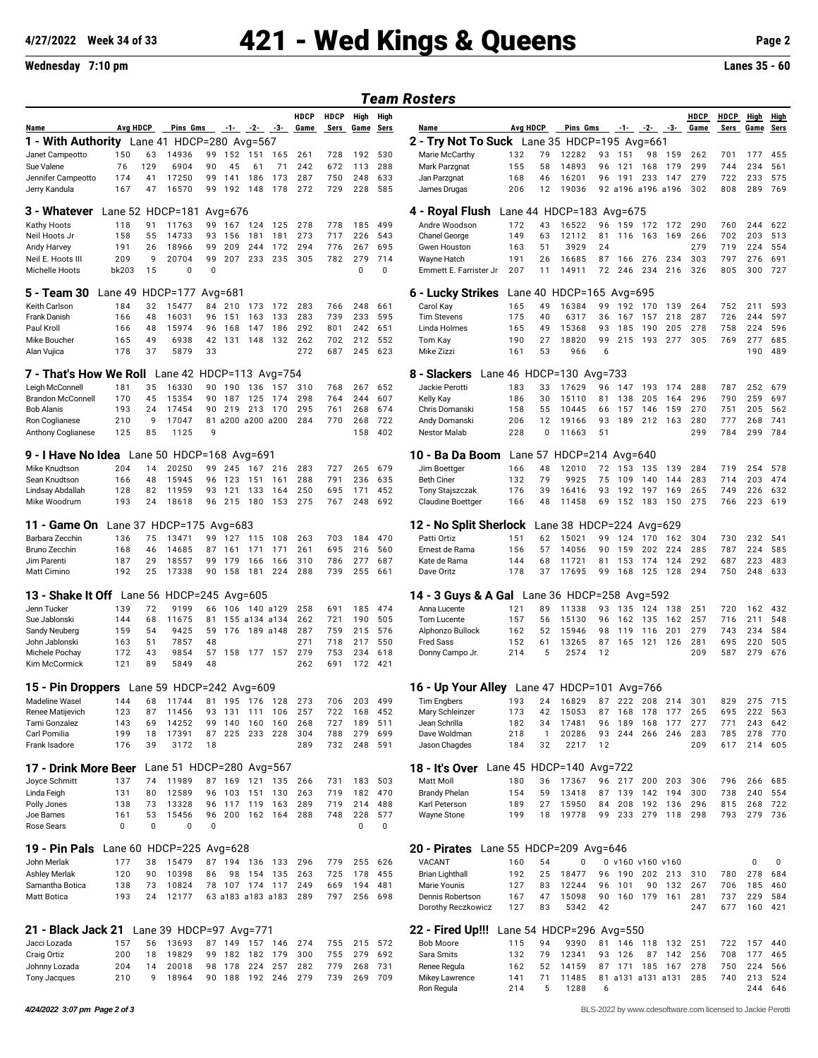# **4/27/2022 Week 34 of 33** 421 - Wed Kings & Queens **Page 2**

### **Wednesday 7:10 pm Lanes 35 - 60**

### *Team Rosters*

|                                                                                                      |                          |              |                          |                |                  |                                     |            |                     |                     |                   |                 | , vuin nvoiviv                                          |            |                    |                                 |          |                                 |               |            |                     |                     |              |                     |
|------------------------------------------------------------------------------------------------------|--------------------------|--------------|--------------------------|----------------|------------------|-------------------------------------|------------|---------------------|---------------------|-------------------|-----------------|---------------------------------------------------------|------------|--------------------|---------------------------------|----------|---------------------------------|---------------|------------|---------------------|---------------------|--------------|---------------------|
| Name                                                                                                 | Avg HDCP                 |              | Pins Gms                 |                |                  | $-1$ $-2$ $-3$                      |            | <b>HDCP</b><br>Game | <b>HDCP</b><br>Sers | High<br>Game Sers | High            | Name                                                    | Avg HDCP   |                    | <b>Pins Gms</b>                 |          |                                 | $-1 - 2 - 3$  |            | <b>HDCP</b><br>Game | <b>HDCP</b><br>Sers | High<br>Game | <u>High</u><br>Sers |
| <b>1 - With Authority</b> Lane 41 HDCP=280 Avg=567                                                   |                          |              |                          |                |                  |                                     |            |                     |                     |                   |                 | 2 - Try Not To Suck Lane 35 HDCP=195 Avg=661            |            |                    |                                 |          |                                 |               |            |                     |                     |              |                     |
| Janet Campeotto                                                                                      | 150                      | 63           | 14936                    |                | 99 152           | 151 165                             |            | 261                 | 728                 | 192               | 530             | Marie McCarthy                                          | 132        | 79                 | 12282                           |          | 93 151                          | 98            | 159        | 262                 | 701                 | 177          | 455                 |
| Sue Valene                                                                                           | 76                       | 129          | 6904                     | 90             | 45               | 61                                  | 71         | 242                 | 672                 | 113               | 288             | Mark Parzgnat                                           | 155        | 58                 | 14893                           | 96       | 121                             | 168           | 179        | 299                 | 744                 | 234          | 561                 |
| Jennifer Campeotto                                                                                   | 174                      | 41           | 17250                    | 99             | 141              | 186                                 | 173        | 287                 | 750                 | 248               | 633             | Jan Parzgnat                                            | 168        | 46                 | 16201                           | 96       | 191 233                         |               | 147        | 279                 | 722                 | 233          | 575                 |
| Jerry Kandula                                                                                        | 167                      | 47           | 16570                    | 99             | 192              | 148                                 | 178        | 272                 | 729                 | 228               | 585             | James Drugas                                            | 206        | 12                 | 19036                           |          | 92 a196 a196 a196               |               |            | 302                 | 808                 | 289          | 769                 |
| 3 - Whatever                                                                                         | Lane 52 HDCP=181         |              |                          |                | Avg= $676$       |                                     |            |                     |                     |                   |                 | 4 - Royal Flush                                         |            |                    | Lane 44 HDCP=183 Avg=675        |          |                                 |               |            |                     |                     |              |                     |
| Kathy Hoots                                                                                          | 118                      | 91           | 11763                    | 99             | 167              | 124 125                             |            | 278                 | 778                 | 185               | 499             | Andre Woodson                                           | 172        | 43                 | 16522                           | 96       | 159                             | 172           | - 172      | 290                 | 760                 | 244          | 622                 |
| Neil Hoots Jr                                                                                        | 158                      | 55           | 14733                    | 93             | 156              | 181                                 | 181        | 273                 | 717                 | 226               | 543             | Chanel George                                           | 149        | 63                 | 12112                           | 81       | 116                             | 163           | 169        | 266                 | 702                 | 203          | 513                 |
| Andy Harvey                                                                                          | 191                      | 26           | 18966                    | 99             | 209              | 244                                 | 172        | 294                 | 776                 | 267               | 695             | Gwen Houston                                            | 163        | 51                 | 3929                            | 24       |                                 |               |            | 279                 | 719                 | 224          | 554                 |
| Neil E. Hoots III<br>Michelle Hoots                                                                  | 209<br>bk203             | 9<br>15      | 20704<br>$\Omega$        | 99<br>$\Omega$ | 207              | 233 235                             |            | 305                 | 782                 | 279<br>0          | 714<br>$\Omega$ | Wayne Hatch<br>Emmett E. Farrister Jr                   | 191<br>207 | 26<br>11           | 16685<br>14911                  | 72       | 87 166 276<br>246               | 234           | 234<br>216 | 303<br>326          | 797<br>805          | 276<br>300   | 691<br>727          |
| 5 - Team 30                                                                                          | Lane 49                  |              | $HDCP=177$               |                | Avg= $681$       |                                     |            |                     |                     |                   |                 | 6 - Lucky Strikes                                       | Lane 40    |                    | HDCP=165 Avg=695                |          |                                 |               |            |                     |                     |              |                     |
| Keith Carlson                                                                                        | 184                      | 32           | 15477                    |                | 84 210           |                                     | 173 172    | 283                 | 766                 | 248               | 661             | Carol Kay                                               | 165        | 49                 | 16384                           | 99       | 192 170                         |               | 139        | 264                 | 752                 | 211          | 593                 |
| Frank Danish                                                                                         | 166                      | 48           | 16031                    | 96             | 151              | 163                                 | 133        | 283                 | 739                 | 233               | 595             | <b>Tim Stevens</b>                                      | 175        | 40                 | 6317                            | 36       | 167                             | 157           | 218        | 287                 | 726                 | 244          | 597                 |
| Paul Kroll                                                                                           | 166<br>165               | 48<br>49     | 15974<br>6938            | 96<br>42       | 168<br>131       | 147<br>148                          | 186<br>132 | 292<br>262          | 801<br>702          | 242<br>212        | 651<br>552      | Linda Holmes                                            | 165<br>190 | 49<br>27           | 15368<br>18820                  | 93<br>99 | 185<br>215                      | 190<br>193    | 205<br>277 | 278<br>305          | 758<br>769          | 224<br>277   | 596<br>685          |
| Mike Boucher<br>Alan Vujica                                                                          | 178                      | 37           | 5879                     | 33             |                  |                                     |            | 272                 | 687                 | 245               | 623             | Tom Kay<br>Mike Zizzi                                   | 161        | 53                 | 966                             | 6        |                                 |               |            |                     |                     | 190          | 489                 |
| <b>7 - That's How We Roll</b> Lane 42 HDCP=113 Avg=754<br>8 - Slackers<br>Lane 46 HDCP=130 $Avg=733$ |                          |              |                          |                |                  |                                     |            |                     |                     |                   |                 |                                                         |            |                    |                                 |          |                                 |               |            |                     |                     |              |                     |
|                                                                                                      |                          |              |                          |                |                  |                                     |            |                     |                     |                   |                 |                                                         |            |                    |                                 |          |                                 |               |            |                     |                     |              |                     |
| Leigh McConnell<br><b>Brandon McConnel</b>                                                           | 181<br>170               | 35<br>45     | 16330<br>15354           | 90             | 90 190<br>187    | 136<br>125                          | 157<br>174 | 310<br>298          | 768<br>764          | 267<br>244        | 652<br>607      | Jackie Perotti<br>Kelly Kay                             | 183<br>186 | 33<br>30           | 17629<br>15110                  | 96<br>81 | 147<br>138                      | 193<br>205    | 174<br>164 | 288<br>296          | 787<br>790          | 252<br>259   | 679<br>697          |
| <b>Bob Alanis</b>                                                                                    | 193                      | 24           | 17454                    | 90             | 219              |                                     | 213 170    | 295                 | 761                 | 268               | 674             | Chris Domanski                                          | 158        | 55                 | 10445                           | 66       | 157                             | 146           | 159        | 270                 | 751                 | 205          | 562                 |
| Ron Coglianese                                                                                       | 210                      | 9            | 17047                    |                |                  | 81 a200 a200 a200                   |            | 284                 | 770                 | 268               | 722             | Andy Domanski                                           | 206        | 12                 | 19166                           | 93       | 189                             | 212           | 163        | 280                 | 777                 | 268          | 741                 |
| Anthony Coglianese                                                                                   | 125                      | 85           | 1125                     | 9              |                  |                                     |            |                     |                     | 158               | 402             | <b>Nestor Malab</b>                                     | 228        | $\Omega$           | 11663                           | 51       |                                 |               |            | 299                 | 784                 | 299          | 784                 |
| <b>9 - I Have No Idea</b> Lane 50 HDCP=168 Avg=691                                                   |                          |              |                          |                |                  |                                     |            |                     |                     |                   |                 | 10 - Ba Da Boom                                         |            |                    | Lane 57 HDCP=214 Avg=640        |          |                                 |               |            |                     |                     |              |                     |
| Mike Knudtson                                                                                        | 204                      | 14           | 20250                    |                | 99 245           | 167                                 | 216        | 283                 | 727                 | 265               | 679             | Jim Boettger                                            | 166        | 48                 | 12010                           | 72       | 153                             | 135           | 139        | 284                 | 719                 | 254          | 578                 |
| Sean Knudtson                                                                                        | 166                      | 48           | 15945                    |                | 96 123           | 151                                 | 161        | 288                 | 791                 | 236               | 635             | <b>Beth Ciner</b>                                       | 132        | 79                 | 9925                            | 75       | 109                             | 140           | 144        | 283                 | 714                 | 203          | 474                 |
| Lindsay Abdallah                                                                                     | 128                      | 82           | 11959                    | 93             | 121              | 133                                 | 164        | 250                 | 695                 | 171               | 452             | Tony Stajszczak                                         | 176        | 39                 | 16416                           | 93       | 192 197                         |               | 169        | 265                 | 749                 | 226          | 632                 |
| Mike Woodrum                                                                                         | 193                      | 24           | 18618                    | 96             | 215              | 180                                 | 153        | 275                 | 767                 | 248               | 692             | <b>Claudine Boettger</b>                                | 166        | 48                 | 11458                           | 69       | 152                             | 183           | 150        | 275                 | 766                 | 223          | 619                 |
| 11 - Game On                                                                                         |                          |              | Lane 37 HDCP=175 Avg=683 |                |                  |                                     |            |                     |                     |                   |                 | 12 - No Split Sherlock                                  |            |                    | Lane 38 HDCP=224 Avg=629        |          |                                 |               |            |                     |                     |              |                     |
| Barbara Zecchin                                                                                      | 136                      | 75           | 13471                    | 99             | 127              | 115 108                             |            | 263                 | 703                 | 184               | 470             | Patti Ortiz                                             | 151        | 62                 | 15021                           | 99       | 124                             | 170           | 162        | 304                 | 730                 | 232          | 541                 |
| Bruno Zecchin                                                                                        | 168                      | 46           | 14685                    | 87             | 161              | 171                                 | 171        | 261                 | 695                 | 216               | 560             | Ernest de Rama                                          | 156        | 57                 | 14056                           | 90       | 159                             | 202           | 224        | 285                 | 787                 | 224          | 585                 |
| Jim Parenti<br>Matt Cimino                                                                           | 187<br>192               | 29<br>25     | 18557<br>17338           | 99             | 179<br>90 158    | 166<br>181                          | 166<br>224 | 310<br>288          | 786<br>739          | 277<br>255        | 687<br>661      | Kate de Rama<br>Dave Oritz                              | 144<br>178 | 68<br>37           | 11721<br>17695                  | 81<br>99 | 153<br>168                      | 174<br>125    | 124<br>128 | 292<br>294          | 687<br>750          | 223<br>248   | 483<br>633          |
| 13 - Shake It Off Lane 56 HDCP=245 Avg=605                                                           |                          |              |                          |                |                  |                                     |            |                     |                     |                   |                 |                                                         |            |                    |                                 |          |                                 |               |            |                     |                     |              |                     |
|                                                                                                      |                          |              |                          |                |                  |                                     |            |                     |                     |                   |                 | <b>14 - 3 Guys &amp; A Gal</b> Lane 36 HDCP=258 Avg=592 |            |                    |                                 |          |                                 |               |            |                     |                     |              |                     |
| Jenn Tucker<br>Sue Jablonski                                                                         | 139<br>144               | 72<br>68     | 9199<br>11675            | 66<br>81       | 106              | 140 a129<br>155 a134 a134           |            | 258<br>262          | 691<br>721          | 185<br>190        | 474<br>505      | Anna Lucente<br>Tom Lucente                             | 121<br>157 | 89<br>56           | 11338<br>15130                  | 93<br>96 | 135<br>162                      | 124<br>135    | 138<br>162 | 251<br>257          | 720<br>716          | 162<br>211   | 432<br>548          |
| Sandy Neuberg                                                                                        | 159                      | 54           | 9425                     | 59             | 176              | 189 a148                            |            | 287                 | 759                 | 215               | 576             | Alphonzo Bullock                                        | 162        | 52                 | 15946                           | 98       | 119                             | 116           | 201        | 279                 | 743                 | 234          | 584                 |
| John Jablonski                                                                                       | 163                      | 51           | 7857                     | 48             |                  |                                     |            | 271                 | 718                 | 217               | 550             | <b>Fred Sass</b>                                        | 152        | 61                 | 13265                           | 87       | 165                             | 121           | 126        | 281                 | 695                 | 220          | 505                 |
| Michele Pochay                                                                                       | 172                      | 43           | 9854                     | 57             | 158              | 177 157                             |            | 279                 | 753                 | 234               | 618             | Donny Campo Jr.                                         | 214        | 5                  | 2574                            | 12       |                                 |               |            | 209                 | 587                 | 279          | 676                 |
| Kim McCormick                                                                                        | 121                      | 89           | 5849                     | 48             |                  |                                     |            | 262                 | 691                 | 172               | 421             |                                                         |            |                    |                                 |          |                                 |               |            |                     |                     |              |                     |
| 15 - Pin Droppers Lane 59 HDCP=242 Avg=609                                                           |                          |              |                          |                |                  |                                     |            |                     |                     |                   |                 | <b>16 - Up Your Alley</b> Lane 47 HDCP=101 Avg=766      |            |                    |                                 |          |                                 |               |            |                     |                     |              |                     |
| Madeline Wasel 144 68 11744 81 195 176 128                                                           |                          |              |                          |                |                  |                                     |            | 273                 | 706                 | 203 499           |                 | Tim Engbers                                             |            |                    | 193 24 16829 87 222 208 214 301 |          |                                 |               |            |                     | 829                 |              | 275 715             |
| Renee Matijevich                                                                                     | 123                      | 87           | 11456                    |                | 93 131           | 111                                 | 106        | 257                 | 722                 | 168               | 452             | Mary Schleinzer                                         | 173        | 42                 | 15053                           | 87       | 168                             | 178           | 177        | 265                 | 695                 | 222          | 563                 |
| Tami Gonzalez<br>Carl Pomilia                                                                        | 143<br>199               | 69<br>18     | 14252<br>17391           | 99<br>87       | 140<br>225       | 160<br>233 228                      | 160        | 268<br>304          | 727<br>788          | 189<br>279        | 511<br>699      | Jean Schrilla<br>Dave Woldman                           | 182<br>218 | 34<br>$\mathbf{1}$ | 17481<br>20286                  | 96<br>93 | 189<br>244                      | 168<br>266    | 177<br>246 | 277<br>283          | 771<br>785          | 243<br>278   | 642<br>770          |
| Frank Isadore                                                                                        | 176                      | 39           | 3172                     | 18             |                  |                                     |            | 289                 | 732                 | 248               | 591             | Jason Chagdes                                           | 184        | 32                 | 2217                            | 12       |                                 |               |            | 209                 | 617                 |              | 214 605             |
|                                                                                                      |                          |              |                          |                |                  |                                     |            |                     |                     |                   |                 |                                                         |            |                    |                                 |          |                                 |               |            |                     |                     |              |                     |
| 17 - Drink More Beer                                                                                 |                          |              | Lane 51 HDCP=280 Avg=567 |                |                  |                                     |            |                     |                     |                   |                 | 18 - It's Over                                          |            |                    | Lane 45 HDCP=140 Avg=722        |          |                                 |               |            |                     |                     |              |                     |
| Joyce Schmitt<br>Linda Feigh                                                                         | 137<br>131               | 74<br>80     | 11989<br>12589           |                | 96 103           | 87 169 121 135<br>151               | 130        | 266<br>263          | 731<br>719          | 183<br>182        | 503<br>470      | Matt Moll<br><b>Brandy Phelan</b>                       | 180<br>154 | 36<br>59           | 17367<br>13418                  | 87       | 96 217 200<br>139               | 142           | 203<br>194 | 306<br>300          | 796<br>738          | 266<br>240   | 685<br>554          |
| Polly Jones                                                                                          | 138                      | 73           | 13328                    |                | 96 117           | 119 163                             |            | 289                 | 719                 | 214               | 488             | Karl Peterson                                           | 189        | 27                 | 15950                           | 84       | 208                             | 192           | 136        | 296                 | 815                 | 268          | 722                 |
| Joe Barnes                                                                                           | 161                      | 53           | 15456                    | 96             | 200              | 162 164                             |            | 288                 | 748                 | 228               | 577             | <b>Wayne Stone</b>                                      | 199        | 18                 | 19778                           | 99       |                                 | 233 279       | 118        | 298                 | 793                 | 279          | 736                 |
| Rose Sears                                                                                           | $\mathbf{0}$             | $\mathbf{0}$ | $\Omega$                 | $\mathbf 0$    |                  |                                     |            |                     |                     | $\mathbf 0$       | 0               |                                                         |            |                    |                                 |          |                                 |               |            |                     |                     |              |                     |
| 19 - Pin Pals                                                                                        | Lane 60 HDCP=225 Avg=628 |              |                          |                |                  |                                     |            |                     |                     |                   |                 | 20 - Pirates Lane 55 HDCP=209 Avg=646                   |            |                    |                                 |          |                                 |               |            |                     |                     |              |                     |
| John Merlak                                                                                          | 177                      | 38           | 15479                    |                |                  | 87 194 136 133                      |            | 296                 | 779                 | 255               | 626             | VACANT                                                  | 160        | 54                 | 0                               |          | 0 v160 v160 v160                |               |            |                     |                     | 0            | 0                   |
| Ashley Merlak                                                                                        | 120                      | 90<br>73     | 10398                    | 86             | 98               | 154 135                             |            | 263<br>249          | 725<br>669          | 178<br>194        | 455<br>481      | <b>Brian Lighthall</b>                                  | 192        | 25<br>83           | 18477<br>12244                  | 96<br>96 | 190                             | 202           | 213        | 310<br>267          | 780                 | 278          | 684<br>460          |
| Samantha Botica<br>Matt Botica                                                                       | 138<br>193               | 24           | 10824<br>12177           |                |                  | 78 107 174 117<br>63 a183 a183 a183 |            | 289                 | 797                 | 256               | 698             | Marie Younis<br>Dennis Robertson                        | 127<br>167 | 47                 | 15098                           | 90       | 101                             | 90<br>160 179 | 132<br>161 | 281                 | 706<br>737          | 185<br>229   | 584                 |
|                                                                                                      |                          |              |                          |                |                  |                                     |            |                     |                     |                   |                 | Dorothy Reczkowicz                                      | 127        | 83                 | 5342                            | 42       |                                 |               |            | 247                 | 677                 | 160          | 421                 |
| 21 - Black Jack 21 Lane 39 HDCP=97 Avg=771                                                           |                          |              |                          |                |                  |                                     |            |                     |                     |                   |                 | 22 - Fired Up!!!                                        |            |                    | Lane 54 HDCP=296 Avg=550        |          |                                 |               |            |                     |                     |              |                     |
| Jacci Lozada                                                                                         | 157                      | 56           | 13693                    |                |                  | 87 149 157 146                      |            | 274                 | 755                 | 215               | 572             | <b>Bob Moore</b>                                        | 115        | 94                 | 9390                            |          | 81 146 118                      |               | 132        | 251                 | 722                 | 157          | 440                 |
| Craig Ortiz                                                                                          | 200                      | 18           | 19829                    |                |                  | 99 182 182 179                      |            | 300                 | 755                 | 279               | 692             | Sara Smits                                              | 132        | 79                 | 12341                           |          | 93 126                          | 87            | 142        | 256                 | 708                 | 177          | 465                 |
| Johnny Lozada<br>Tony Jacques                                                                        | 204<br>210               | 14<br>9      | 20018<br>18964           |                | 98 178<br>90 188 | 224<br>192 246                      | 257        | 282<br>279          | 779<br>739          | 268<br>269        | 731<br>709      | Renee Regula<br>Mikey Lawrence                          | 162<br>141 | 52<br>71           | 14159<br>11485                  |          | 87 171 185<br>81 a131 a131 a131 |               | 167        | 278<br>285          | 750<br>740          | 224<br>213   | 566<br>524          |
|                                                                                                      |                          |              |                          |                |                  |                                     |            |                     |                     |                   |                 | Ron Regula                                              | 214        | 5                  | 1288                            | 6        |                                 |               |            |                     |                     |              | 244 646             |

Ron Regula 214 5 1288 6